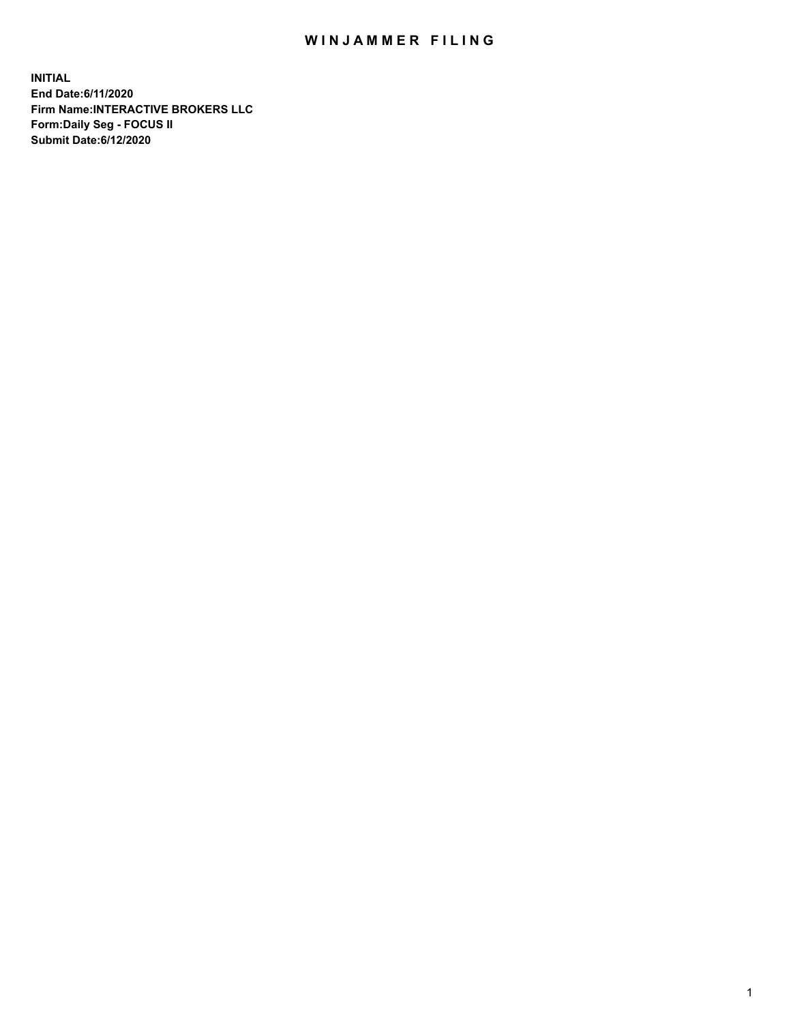## WIN JAMMER FILING

**INITIAL End Date:6/11/2020 Firm Name:INTERACTIVE BROKERS LLC Form:Daily Seg - FOCUS II Submit Date:6/12/2020**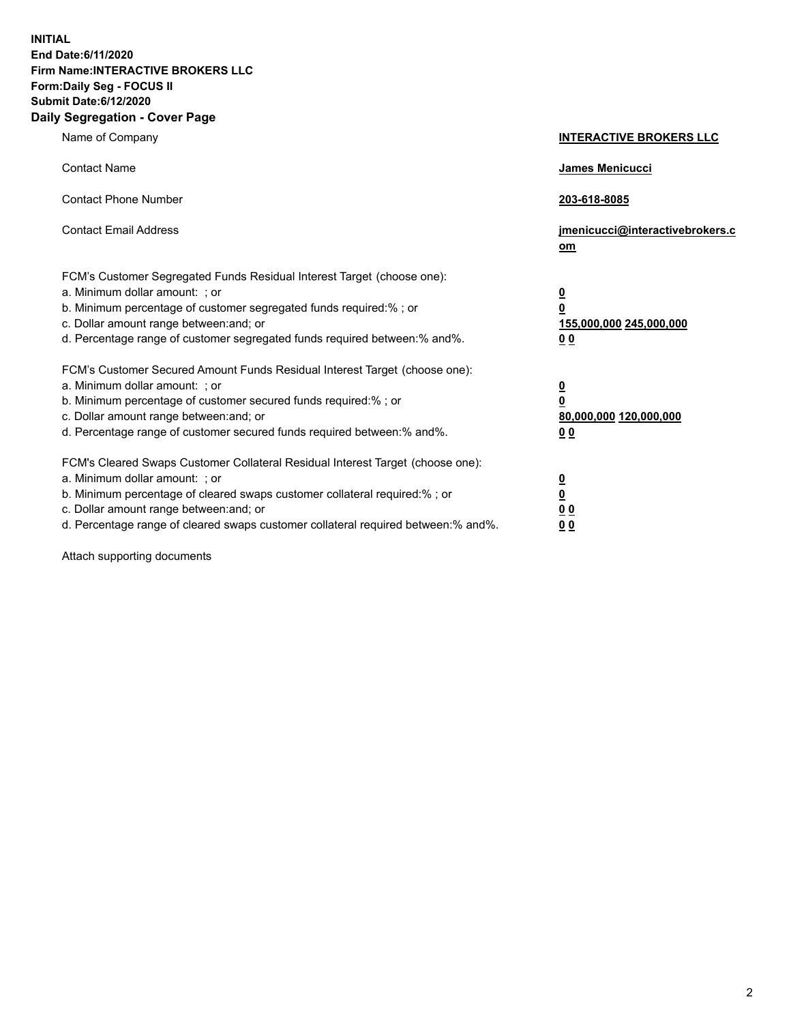**INITIAL End Date:6/11/2020 Firm Name:INTERACTIVE BROKERS LLC Form:Daily Seg - FOCUS II Submit Date:6/12/2020 Daily Segregation - Cover Page**

| Name of Company                                                                                                                                                                                                                                                                                                               | <b>INTERACTIVE BROKERS LLC</b>                                                   |
|-------------------------------------------------------------------------------------------------------------------------------------------------------------------------------------------------------------------------------------------------------------------------------------------------------------------------------|----------------------------------------------------------------------------------|
| <b>Contact Name</b>                                                                                                                                                                                                                                                                                                           | James Menicucci                                                                  |
| <b>Contact Phone Number</b>                                                                                                                                                                                                                                                                                                   | 203-618-8085                                                                     |
| <b>Contact Email Address</b>                                                                                                                                                                                                                                                                                                  | jmenicucci@interactivebrokers.c<br>om                                            |
| FCM's Customer Segregated Funds Residual Interest Target (choose one):<br>a. Minimum dollar amount: ; or<br>b. Minimum percentage of customer segregated funds required:% ; or<br>c. Dollar amount range between: and; or<br>d. Percentage range of customer segregated funds required between:% and%.                        | <u>0</u><br>$\overline{\mathbf{0}}$<br>155,000,000 245,000,000<br>0 <sub>0</sub> |
| FCM's Customer Secured Amount Funds Residual Interest Target (choose one):<br>a. Minimum dollar amount: ; or<br>b. Minimum percentage of customer secured funds required:%; or<br>c. Dollar amount range between: and; or<br>d. Percentage range of customer secured funds required between:% and%.                           | <u>0</u><br>$\overline{\mathbf{0}}$<br>80,000,000 120,000,000<br>0 <sub>0</sub>  |
| FCM's Cleared Swaps Customer Collateral Residual Interest Target (choose one):<br>a. Minimum dollar amount: ; or<br>b. Minimum percentage of cleared swaps customer collateral required:%; or<br>c. Dollar amount range between: and; or<br>d. Percentage range of cleared swaps customer collateral required between:% and%. | <u>0</u><br>$\underline{\mathbf{0}}$<br>0 <sub>0</sub><br>0 <sub>0</sub>         |

Attach supporting documents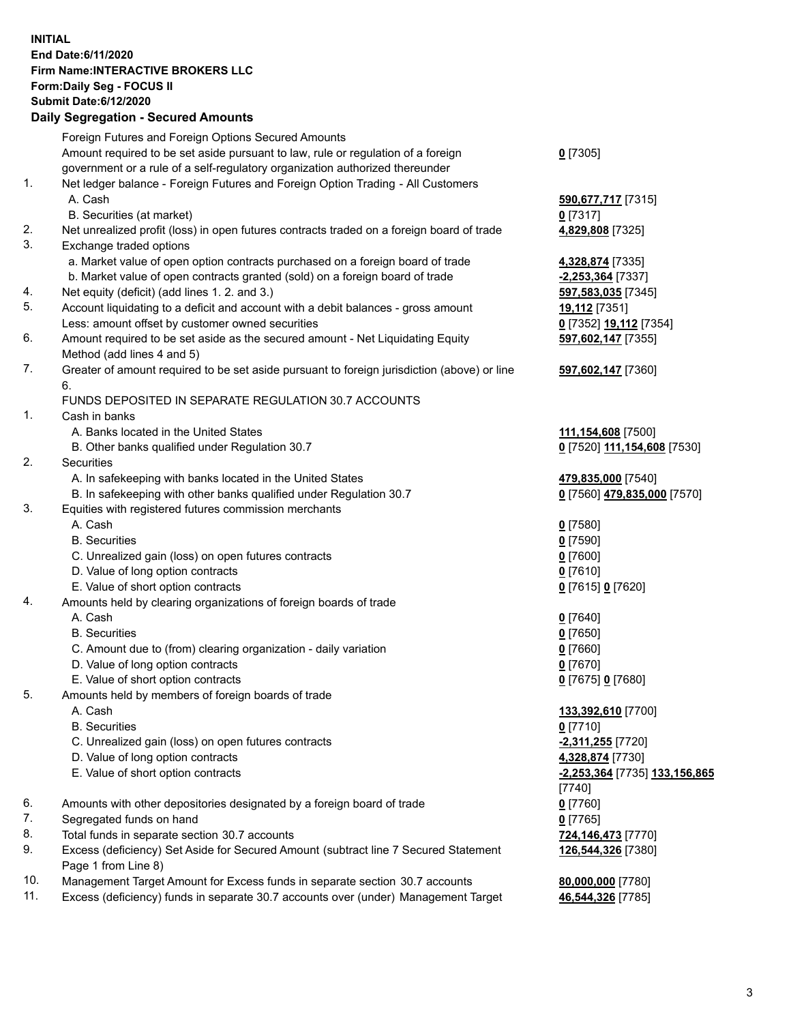## **INITIAL End Date:6/11/2020 Firm Name:INTERACTIVE BROKERS LLC Form:Daily Seg - FOCUS II Submit Date:6/12/2020**

|     | <b>Daily Segregation - Secured Amounts</b>                                                                 |                                      |
|-----|------------------------------------------------------------------------------------------------------------|--------------------------------------|
|     | Foreign Futures and Foreign Options Secured Amounts                                                        |                                      |
|     | Amount required to be set aside pursuant to law, rule or regulation of a foreign                           | $0$ [7305]                           |
|     | government or a rule of a self-regulatory organization authorized thereunder                               |                                      |
| 1.  | Net ledger balance - Foreign Futures and Foreign Option Trading - All Customers                            |                                      |
|     | A. Cash                                                                                                    | 590,677,717 [7315]                   |
|     | B. Securities (at market)                                                                                  | $0$ [7317]                           |
| 2.  | Net unrealized profit (loss) in open futures contracts traded on a foreign board of trade                  | 4,829,808 [7325]                     |
| 3.  | Exchange traded options                                                                                    |                                      |
|     | a. Market value of open option contracts purchased on a foreign board of trade                             | 4,328,874 [7335]                     |
|     | b. Market value of open contracts granted (sold) on a foreign board of trade                               | -2,253,364 [7337]                    |
| 4.  | Net equity (deficit) (add lines 1. 2. and 3.)                                                              | 597,583,035 [7345]                   |
| 5.  | Account liquidating to a deficit and account with a debit balances - gross amount                          | 19,112 [7351]                        |
|     | Less: amount offset by customer owned securities                                                           | 0 [7352] 19,112 [7354]               |
| 6.  | Amount required to be set aside as the secured amount - Net Liquidating Equity                             | 597,602,147 [7355]                   |
|     | Method (add lines 4 and 5)                                                                                 |                                      |
| 7.  | Greater of amount required to be set aside pursuant to foreign jurisdiction (above) or line                | 597,602,147 [7360]                   |
|     | 6.                                                                                                         |                                      |
|     | FUNDS DEPOSITED IN SEPARATE REGULATION 30.7 ACCOUNTS                                                       |                                      |
| 1.  | Cash in banks                                                                                              |                                      |
|     | A. Banks located in the United States                                                                      | 111,154,608 [7500]                   |
|     | B. Other banks qualified under Regulation 30.7                                                             | 0 [7520] 111,154,608 [7530]          |
| 2.  | Securities                                                                                                 |                                      |
|     | A. In safekeeping with banks located in the United States                                                  | 479,835,000 [7540]                   |
|     | B. In safekeeping with other banks qualified under Regulation 30.7                                         | 0 [7560] 479,835,000 [7570]          |
| 3.  | Equities with registered futures commission merchants                                                      |                                      |
|     | A. Cash                                                                                                    | $0$ [7580]                           |
|     | <b>B.</b> Securities                                                                                       | $0$ [7590]                           |
|     | C. Unrealized gain (loss) on open futures contracts                                                        | $0$ [7600]                           |
|     | D. Value of long option contracts                                                                          | 0 [7610]                             |
|     | E. Value of short option contracts                                                                         | 0 [7615] 0 [7620]                    |
| 4.  | Amounts held by clearing organizations of foreign boards of trade                                          |                                      |
|     | A. Cash                                                                                                    | $0$ [7640]                           |
|     | <b>B.</b> Securities                                                                                       | $0$ [7650]                           |
|     | C. Amount due to (from) clearing organization - daily variation                                            | $0$ [7660]                           |
|     | D. Value of long option contracts                                                                          | $0$ [7670]                           |
|     | E. Value of short option contracts                                                                         | 0 [7675] 0 [7680]                    |
| 5.  | Amounts held by members of foreign boards of trade                                                         |                                      |
|     | A. Cash                                                                                                    | 133,392,610 [7700]                   |
|     | <b>B.</b> Securities                                                                                       | $0$ [7710]                           |
|     | C. Unrealized gain (loss) on open futures contracts                                                        | -2,311,255 [7720]                    |
|     | D. Value of long option contracts                                                                          | 4,328,874 [7730]                     |
|     | E. Value of short option contracts                                                                         | <u>-2,253,364</u> [7735] 133,156,865 |
|     |                                                                                                            | $[7740]$                             |
| 6.  | Amounts with other depositories designated by a foreign board of trade                                     | $0$ [7760]                           |
| 7.  | Segregated funds on hand                                                                                   | $0$ [7765]                           |
| 8.  | Total funds in separate section 30.7 accounts                                                              | 724,146,473 [7770]                   |
| 9.  | Excess (deficiency) Set Aside for Secured Amount (subtract line 7 Secured Statement<br>Page 1 from Line 8) | 126,544,326 [7380]                   |
| 10. | Management Target Amount for Excess funds in separate section 30.7 accounts                                | 80,000,000 [7780]                    |
| 11. | Excess (deficiency) funds in separate 30.7 accounts over (under) Management Target                         | 46,544,326 [7785]                    |
|     |                                                                                                            |                                      |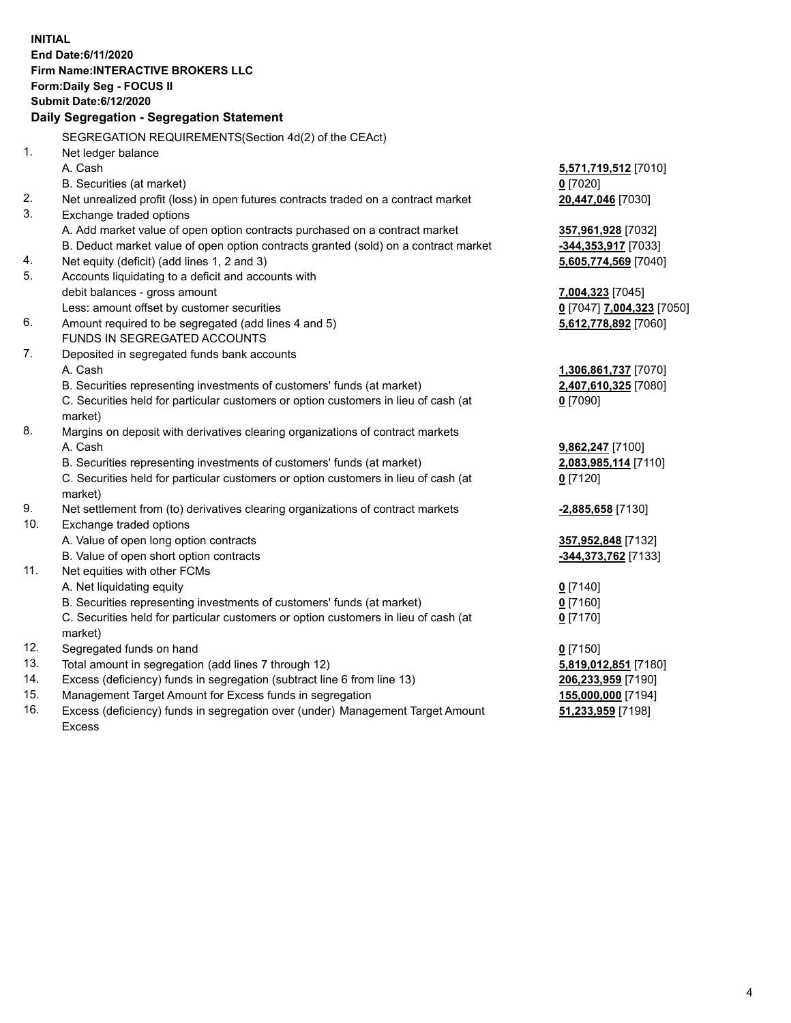**INITIAL End Date:6/11/2020 Firm Name:INTERACTIVE BROKERS LLC Form:Daily Seg - FOCUS II Submit Date:6/12/2020 Daily Segregation - Segregation Statement** SEGREGATION REQUIREMENTS(Section 4d(2) of the CEAct) 1. Net ledger balance A. Cash **5,571,719,512** [7010] B. Securities (at market) **0** [7020] 2. Net unrealized profit (loss) in open futures contracts traded on a contract market **20,447,046** [7030] 3. Exchange traded options A. Add market value of open option contracts purchased on a contract market **357,961,928** [7032] B. Deduct market value of open option contracts granted (sold) on a contract market **-344,353,917** [7033] 4. Net equity (deficit) (add lines 1, 2 and 3) **5,605,774,569** [7040] 5. Accounts liquidating to a deficit and accounts with debit balances - gross amount **7,004,323** [7045] Less: amount offset by customer securities **0** [7047] **7,004,323** [7050] 6. Amount required to be segregated (add lines 4 and 5) **5,612,778,892** [7060] FUNDS IN SEGREGATED ACCOUNTS 7. Deposited in segregated funds bank accounts A. Cash **1,306,861,737** [7070] B. Securities representing investments of customers' funds (at market) **2,407,610,325** [7080] C. Securities held for particular customers or option customers in lieu of cash (at market) **0** [7090] 8. Margins on deposit with derivatives clearing organizations of contract markets A. Cash **9,862,247** [7100] B. Securities representing investments of customers' funds (at market) **2,083,985,114** [7110] C. Securities held for particular customers or option customers in lieu of cash (at market) **0** [7120] 9. Net settlement from (to) derivatives clearing organizations of contract markets **-2,885,658** [7130] 10. Exchange traded options A. Value of open long option contracts **357,952,848** [7132] B. Value of open short option contracts **-344,373,762** [7133] 11. Net equities with other FCMs A. Net liquidating equity **0** [7140] B. Securities representing investments of customers' funds (at market) **0** [7160] C. Securities held for particular customers or option customers in lieu of cash (at market) **0** [7170] 12. Segregated funds on hand **0** [7150] 13. Total amount in segregation (add lines 7 through 12) **5,819,012,851** [7180] 14. Excess (deficiency) funds in segregation (subtract line 6 from line 13) **206,233,959** [7190] 15. Management Target Amount for Excess funds in segregation **155,000,000** [7194]

16. Excess (deficiency) funds in segregation over (under) Management Target Amount Excess

**51,233,959** [7198]